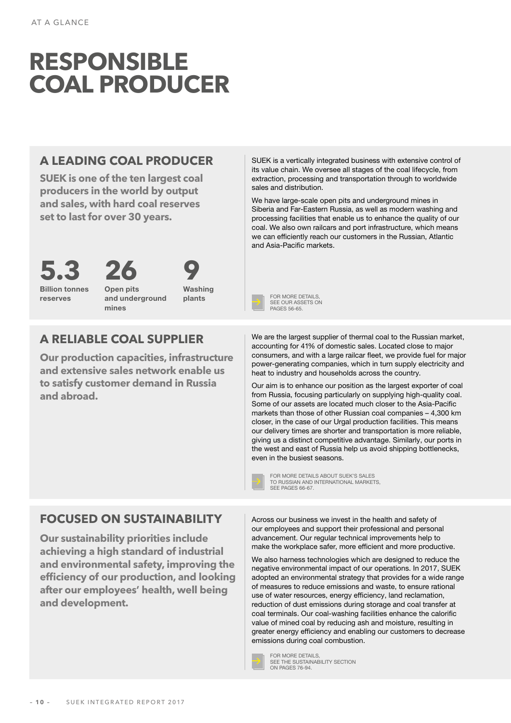# **RESPONSIBLE COAL PRODUCER**

#### **A LEADING COAL PRODUCER**

**SUEK is one of the ten largest coal producers in the world by output and sales, with hard coal reserves set to last for over 30 years.**



Billion tonnes reserves



Open pits and underground mines

**9** Washing

#### **A RELIABLE COAL SUPPLIER**

**Our production capacities, infrastructure and extensive sales network enable us to satisfy customer demand in Russia and abroad.** 

SUEK is a vertically integrated business with extensive control of its value chain. We oversee all stages of the coal lifecycle, from extraction, processing and transportation through to worldwide sales and distribution.

We have large-scale open pits and underground mines in Siberia and Far-Eastern Russia, as well as modern washing and processing facilities that enable us to enhance the quality of our coal. We also own railcars and port infrastructure, which means we can efficiently reach our customers in the Russian, Atlantic and Asia-Pacific markets.



We are the largest supplier of thermal coal to the Russian market, accounting for 41% of domestic sales. Located close to major consumers, and with a large railcar fleet, we provide fuel for major power-generating companies, which in turn supply electricity and heat to industry and households across the country.

Our aim is to enhance our position as the largest exporter of coal from Russia, focusing particularly on supplying high-quality coal. Some of our assets are located much closer to the Asia-Pacific markets than those of other Russian coal companies – 4,300 km closer, in the case of our Urgal production facilities. This means our delivery times are shorter and transportation is more reliable, giving us a distinct competitive advantage. Similarly, our ports in the west and east of Russia help us avoid shipping bottlenecks, even in the busiest seasons.

SEE PAGES 66-67

FOR MORE DETAILS ABOUT SUEK'S SALES [TO RUSSIAN AND INTERNATIONAL MARKETS,](#page--1-0) 

#### **FOCUSED ON SUSTAINABILITY**

**Our sustainability priorities include achieving a high standard of industrial and environmental safety, improving the efficiency of our production, and looking after our employees' health, well being and development.**

Across our business we invest in the health and safety of our employees and support their professional and personal advancement. Our regular technical improvements help to make the workplace safer, more efficient and more productive.

We also harness technologies which are designed to reduce the negative environmental impact of our operations. In 2017, SUEK adopted an environmental strategy that provides for a wide range of measures to reduce emissions and waste, to ensure rational use of water resources, energy efficiency, land reclamation, reduction of dust emissions during storage and coal transfer at coal terminals. Our coal-washing facilities enhance the calorific value of mined coal by reducing ash and moisture, resulting in greater energy efficiency and enabling our customers to decrease emissions during coal combustion.



FOR MORE DETAILS, SEE THE SUSTAINABILITY SECTION ON PAGES 76-94.